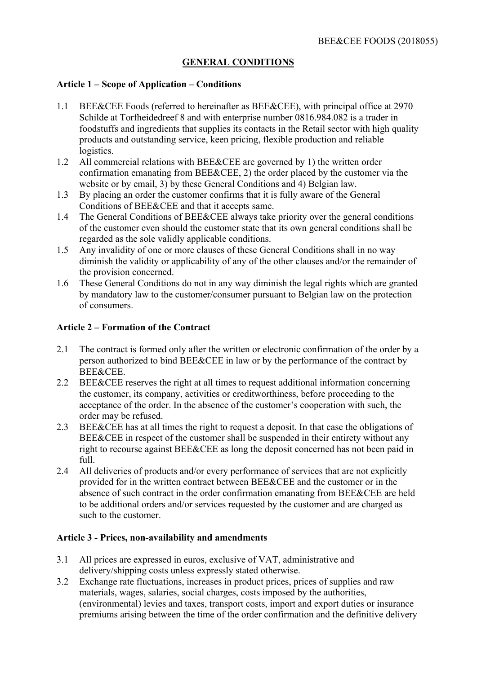# **GENERAL CONDITIONS**

#### **Article 1 – Scope of Application – Conditions**

- 1.1 BEE&CEE Foods (referred to hereinafter as BEE&CEE), with principal office at 2970 Schilde at Torfheidedreef 8 and with enterprise number 0816.984.082 is a trader in foodstuffs and ingredients that supplies its contacts in the Retail sector with high quality products and outstanding service, keen pricing, flexible production and reliable logistics.
- 1.2 All commercial relations with BEE&CEE are governed by 1) the written order confirmation emanating from BEE&CEE, 2) the order placed by the customer via the website or by email, 3) by these General Conditions and 4) Belgian law.
- 1.3 By placing an order the customer confirms that it is fully aware of the General Conditions of BEE&CEE and that it accepts same.
- 1.4 The General Conditions of BEE&CEE always take priority over the general conditions of the customer even should the customer state that its own general conditions shall be regarded as the sole validly applicable conditions.
- 1.5 Any invalidity of one or more clauses of these General Conditions shall in no way diminish the validity or applicability of any of the other clauses and/or the remainder of the provision concerned.
- 1.6 These General Conditions do not in any way diminish the legal rights which are granted by mandatory law to the customer/consumer pursuant to Belgian law on the protection of consumers.

### **Article 2 – Formation of the Contract**

- 2.1 The contract is formed only after the written or electronic confirmation of the order by a person authorized to bind BEE&CEE in law or by the performance of the contract by BEE&CEE.
- 2.2 BEE&CEE reserves the right at all times to request additional information concerning the customer, its company, activities or creditworthiness, before proceeding to the acceptance of the order. In the absence of the customer's cooperation with such, the order may be refused.
- 2.3 BEE&CEE has at all times the right to request a deposit. In that case the obligations of BEE&CEE in respect of the customer shall be suspended in their entirety without any right to recourse against BEE&CEE as long the deposit concerned has not been paid in full.
- 2.4 All deliveries of products and/or every performance of services that are not explicitly provided for in the written contract between BEE&CEE and the customer or in the absence of such contract in the order confirmation emanating from BEE&CEE are held to be additional orders and/or services requested by the customer and are charged as such to the customer.

#### **Article 3 - Prices, non-availability and amendments**

- 3.1 All prices are expressed in euros, exclusive of VAT, administrative and delivery/shipping costs unless expressly stated otherwise.
- 3.2 Exchange rate fluctuations, increases in product prices, prices of supplies and raw materials, wages, salaries, social charges, costs imposed by the authorities, (environmental) levies and taxes, transport costs, import and export duties or insurance premiums arising between the time of the order confirmation and the definitive delivery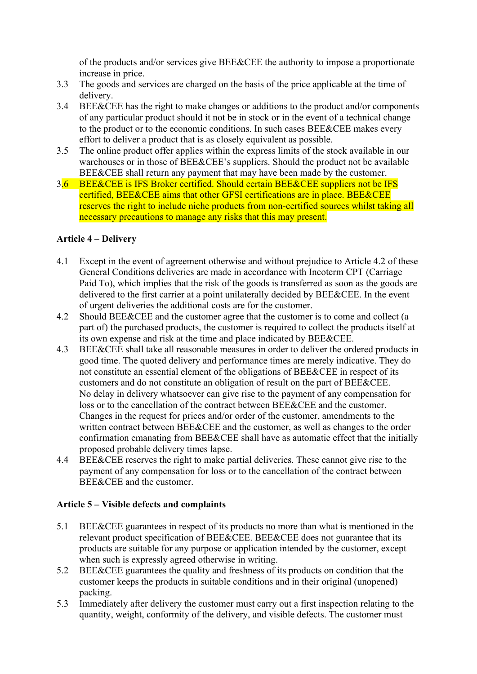of the products and/or services give BEE&CEE the authority to impose a proportionate increase in price.

- 3.3 The goods and services are charged on the basis of the price applicable at the time of delivery.
- 3.4 BEE&CEE has the right to make changes or additions to the product and/or components of any particular product should it not be in stock or in the event of a technical change to the product or to the economic conditions. In such cases BEE&CEE makes every effort to deliver a product that is as closely equivalent as possible.
- 3.5 The online product offer applies within the express limits of the stock available in our warehouses or in those of BEE&CEE's suppliers. Should the product not be available BEE&CEE shall return any payment that may have been made by the customer.
- 3.6 BEE&CEE is IFS Broker certified. Should certain BEE&CEE suppliers not be IFS certified, BEE&CEE aims that other GFSI certifications are in place. BEE&CEE reserves the right to include niche products from non-certified sources whilst taking all necessary precautions to manage any risks that this may present.

## **Article 4 – Delivery**

- 4.1 Except in the event of agreement otherwise and without prejudice to Article 4.2 of these General Conditions deliveries are made in accordance with Incoterm CPT (Carriage Paid To), which implies that the risk of the goods is transferred as soon as the goods are delivered to the first carrier at a point unilaterally decided by BEE&CEE. In the event of urgent deliveries the additional costs are for the customer.
- 4.2 Should BEE&CEE and the customer agree that the customer is to come and collect (a part of) the purchased products, the customer is required to collect the products itself at its own expense and risk at the time and place indicated by BEE&CEE.
- 4.3 BEE&CEE shall take all reasonable measures in order to deliver the ordered products in good time. The quoted delivery and performance times are merely indicative. They do not constitute an essential element of the obligations of BEE&CEE in respect of its customers and do not constitute an obligation of result on the part of BEE&CEE. No delay in delivery whatsoever can give rise to the payment of any compensation for loss or to the cancellation of the contract between BEE&CEE and the customer. Changes in the request for prices and/or order of the customer, amendments to the written contract between BEE&CEE and the customer, as well as changes to the order confirmation emanating from BEE&CEE shall have as automatic effect that the initially proposed probable delivery times lapse.
- 4.4 BEE&CEE reserves the right to make partial deliveries. These cannot give rise to the payment of any compensation for loss or to the cancellation of the contract between BEE&CEE and the customer.

# **Article 5 – Visible defects and complaints**

- 5.1 BEE&CEE guarantees in respect of its products no more than what is mentioned in the relevant product specification of BEE&CEE. BEE&CEE does not guarantee that its products are suitable for any purpose or application intended by the customer, except when such is expressly agreed otherwise in writing.
- 5.2 BEE&CEE guarantees the quality and freshness of its products on condition that the customer keeps the products in suitable conditions and in their original (unopened) packing.
- 5.3 Immediately after delivery the customer must carry out a first inspection relating to the quantity, weight, conformity of the delivery, and visible defects. The customer must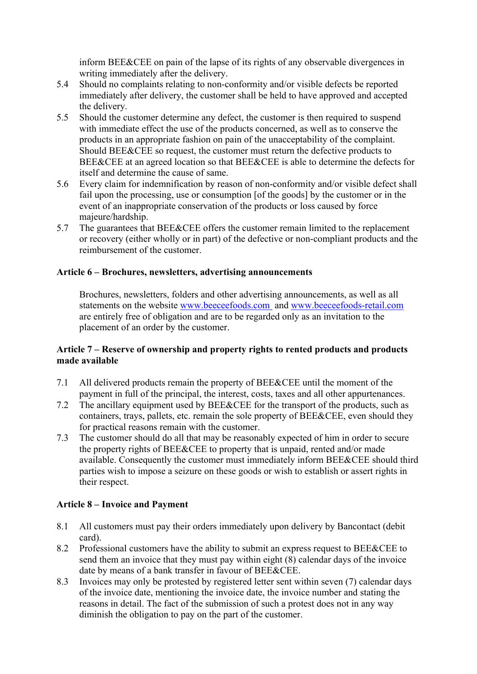inform BEE&CEE on pain of the lapse of its rights of any observable divergences in writing immediately after the delivery.

- 5.4 Should no complaints relating to non-conformity and/or visible defects be reported immediately after delivery, the customer shall be held to have approved and accepted the delivery.
- 5.5 Should the customer determine any defect, the customer is then required to suspend with immediate effect the use of the products concerned, as well as to conserve the products in an appropriate fashion on pain of the unacceptability of the complaint. Should BEE&CEE so request, the customer must return the defective products to BEE&CEE at an agreed location so that BEE&CEE is able to determine the defects for itself and determine the cause of same.
- 5.6 Every claim for indemnification by reason of non-conformity and/or visible defect shall fail upon the processing, use or consumption [of the goods] by the customer or in the event of an inappropriate conservation of the products or loss caused by force majeure/hardship.
- 5.7 The guarantees that BEE&CEE offers the customer remain limited to the replacement or recovery (either wholly or in part) of the defective or non-compliant products and the reimbursement of the customer.

## **Article 6 – Brochures, newsletters, advertising announcements**

Brochures, newsletters, folders and other advertising announcements, as well as all statements on the website www.beeceefoods.com and www.beeceefoods-retail.com are entirely free of obligation and are to be regarded only as an invitation to the placement of an order by the customer.

### **Article 7 – Reserve of ownership and property rights to rented products and products made available**

- 7.1 All delivered products remain the property of BEE&CEE until the moment of the payment in full of the principal, the interest, costs, taxes and all other appurtenances.
- 7.2 The ancillary equipment used by BEE&CEE for the transport of the products, such as containers, trays, pallets, etc. remain the sole property of BEE&CEE, even should they for practical reasons remain with the customer.
- 7.3 The customer should do all that may be reasonably expected of him in order to secure the property rights of BEE&CEE to property that is unpaid, rented and/or made available. Consequently the customer must immediately inform BEE&CEE should third parties wish to impose a seizure on these goods or wish to establish or assert rights in their respect.

### **Article 8 – Invoice and Payment**

- 8.1 All customers must pay their orders immediately upon delivery by Bancontact (debit card).
- 8.2 Professional customers have the ability to submit an express request to BEE&CEE to send them an invoice that they must pay within eight (8) calendar days of the invoice date by means of a bank transfer in favour of BEE&CEE.
- 8.3 Invoices may only be protested by registered letter sent within seven (7) calendar days of the invoice date, mentioning the invoice date, the invoice number and stating the reasons in detail. The fact of the submission of such a protest does not in any way diminish the obligation to pay on the part of the customer.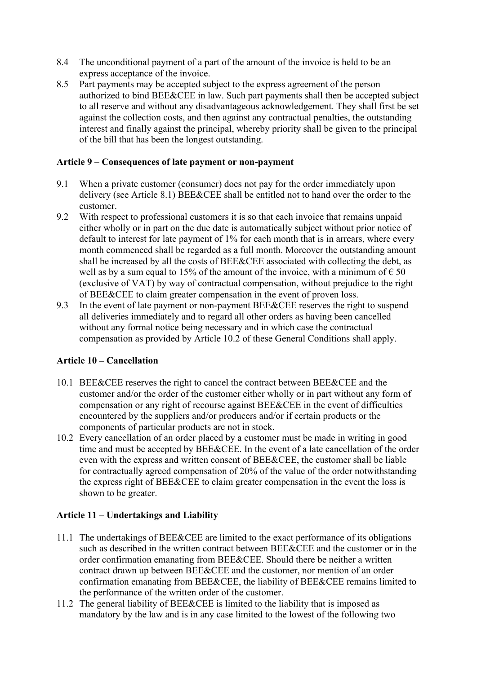- 8.4 The unconditional payment of a part of the amount of the invoice is held to be an express acceptance of the invoice.
- 8.5 Part payments may be accepted subject to the express agreement of the person authorized to bind BEE&CEE in law. Such part payments shall then be accepted subject to all reserve and without any disadvantageous acknowledgement. They shall first be set against the collection costs, and then against any contractual penalties, the outstanding interest and finally against the principal, whereby priority shall be given to the principal of the bill that has been the longest outstanding.

### **Article 9 – Consequences of late payment or non-payment**

- 9.1 When a private customer (consumer) does not pay for the order immediately upon delivery (see Article 8.1) BEE&CEE shall be entitled not to hand over the order to the customer.
- 9.2 With respect to professional customers it is so that each invoice that remains unpaid either wholly or in part on the due date is automatically subject without prior notice of default to interest for late payment of 1% for each month that is in arrears, where every month commenced shall be regarded as a full month. Moreover the outstanding amount shall be increased by all the costs of BEE&CEE associated with collecting the debt, as well as by a sum equal to 15% of the amount of the invoice, with a minimum of  $\epsilon$  50 (exclusive of VAT) by way of contractual compensation, without prejudice to the right of BEE&CEE to claim greater compensation in the event of proven loss.
- 9.3 In the event of late payment or non-payment BEE&CEE reserves the right to suspend all deliveries immediately and to regard all other orders as having been cancelled without any formal notice being necessary and in which case the contractual compensation as provided by Article 10.2 of these General Conditions shall apply.

### **Article 10 – Cancellation**

- 10.1 BEE&CEE reserves the right to cancel the contract between BEE&CEE and the customer and/or the order of the customer either wholly or in part without any form of compensation or any right of recourse against BEE&CEE in the event of difficulties encountered by the suppliers and/or producers and/or if certain products or the components of particular products are not in stock.
- 10.2 Every cancellation of an order placed by a customer must be made in writing in good time and must be accepted by BEE&CEE. In the event of a late cancellation of the order even with the express and written consent of BEE&CEE, the customer shall be liable for contractually agreed compensation of 20% of the value of the order notwithstanding the express right of BEE&CEE to claim greater compensation in the event the loss is shown to be greater.

### **Article 11 – Undertakings and Liability**

- 11.1 The undertakings of BEE&CEE are limited to the exact performance of its obligations such as described in the written contract between BEE&CEE and the customer or in the order confirmation emanating from BEE&CEE. Should there be neither a written contract drawn up between BEE&CEE and the customer, nor mention of an order confirmation emanating from BEE&CEE, the liability of BEE&CEE remains limited to the performance of the written order of the customer.
- 11.2 The general liability of BEE&CEE is limited to the liability that is imposed as mandatory by the law and is in any case limited to the lowest of the following two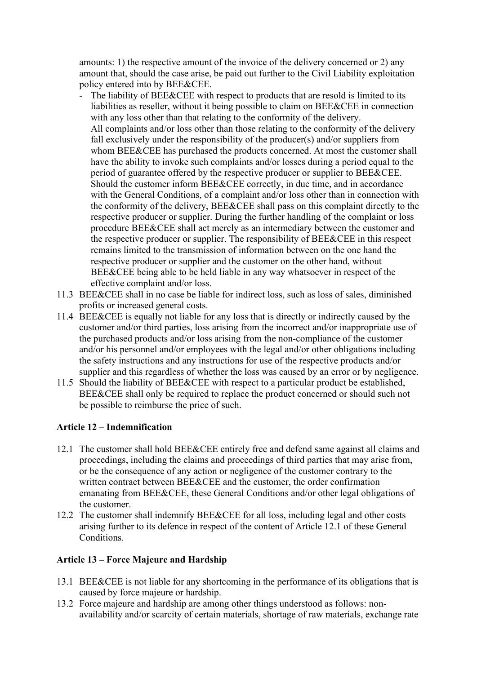amounts: 1) the respective amount of the invoice of the delivery concerned or 2) any amount that, should the case arise, be paid out further to the Civil Liability exploitation policy entered into by BEE&CEE.

- The liability of BEE&CEE with respect to products that are resold is limited to its liabilities as reseller, without it being possible to claim on BEE&CEE in connection with any loss other than that relating to the conformity of the delivery. All complaints and/or loss other than those relating to the conformity of the delivery fall exclusively under the responsibility of the producer(s) and/or suppliers from whom BEE&CEE has purchased the products concerned. At most the customer shall have the ability to invoke such complaints and/or losses during a period equal to the period of guarantee offered by the respective producer or supplier to BEE&CEE. Should the customer inform BEE&CEE correctly, in due time, and in accordance with the General Conditions, of a complaint and/or loss other than in connection with the conformity of the delivery, BEE&CEE shall pass on this complaint directly to the respective producer or supplier. During the further handling of the complaint or loss procedure BEE&CEE shall act merely as an intermediary between the customer and the respective producer or supplier. The responsibility of BEE&CEE in this respect remains limited to the transmission of information between on the one hand the respective producer or supplier and the customer on the other hand, without BEE&CEE being able to be held liable in any way whatsoever in respect of the effective complaint and/or loss.
- 11.3 BEE&CEE shall in no case be liable for indirect loss, such as loss of sales, diminished profits or increased general costs.
- 11.4 BEE&CEE is equally not liable for any loss that is directly or indirectly caused by the customer and/or third parties, loss arising from the incorrect and/or inappropriate use of the purchased products and/or loss arising from the non-compliance of the customer and/or his personnel and/or employees with the legal and/or other obligations including the safety instructions and any instructions for use of the respective products and/or supplier and this regardless of whether the loss was caused by an error or by negligence.
- 11.5 Should the liability of BEE&CEE with respect to a particular product be established, BEE&CEE shall only be required to replace the product concerned or should such not be possible to reimburse the price of such.

# **Article 12 – Indemnification**

- 12.1 The customer shall hold BEE&CEE entirely free and defend same against all claims and proceedings, including the claims and proceedings of third parties that may arise from, or be the consequence of any action or negligence of the customer contrary to the written contract between BEE&CEE and the customer, the order confirmation emanating from BEE&CEE, these General Conditions and/or other legal obligations of the customer.
- 12.2 The customer shall indemnify BEE&CEE for all loss, including legal and other costs arising further to its defence in respect of the content of Article 12.1 of these General Conditions.

# **Article 13 – Force Majeure and Hardship**

- 13.1 BEE&CEE is not liable for any shortcoming in the performance of its obligations that is caused by force majeure or hardship.
- 13.2 Force majeure and hardship are among other things understood as follows: nonavailability and/or scarcity of certain materials, shortage of raw materials, exchange rate